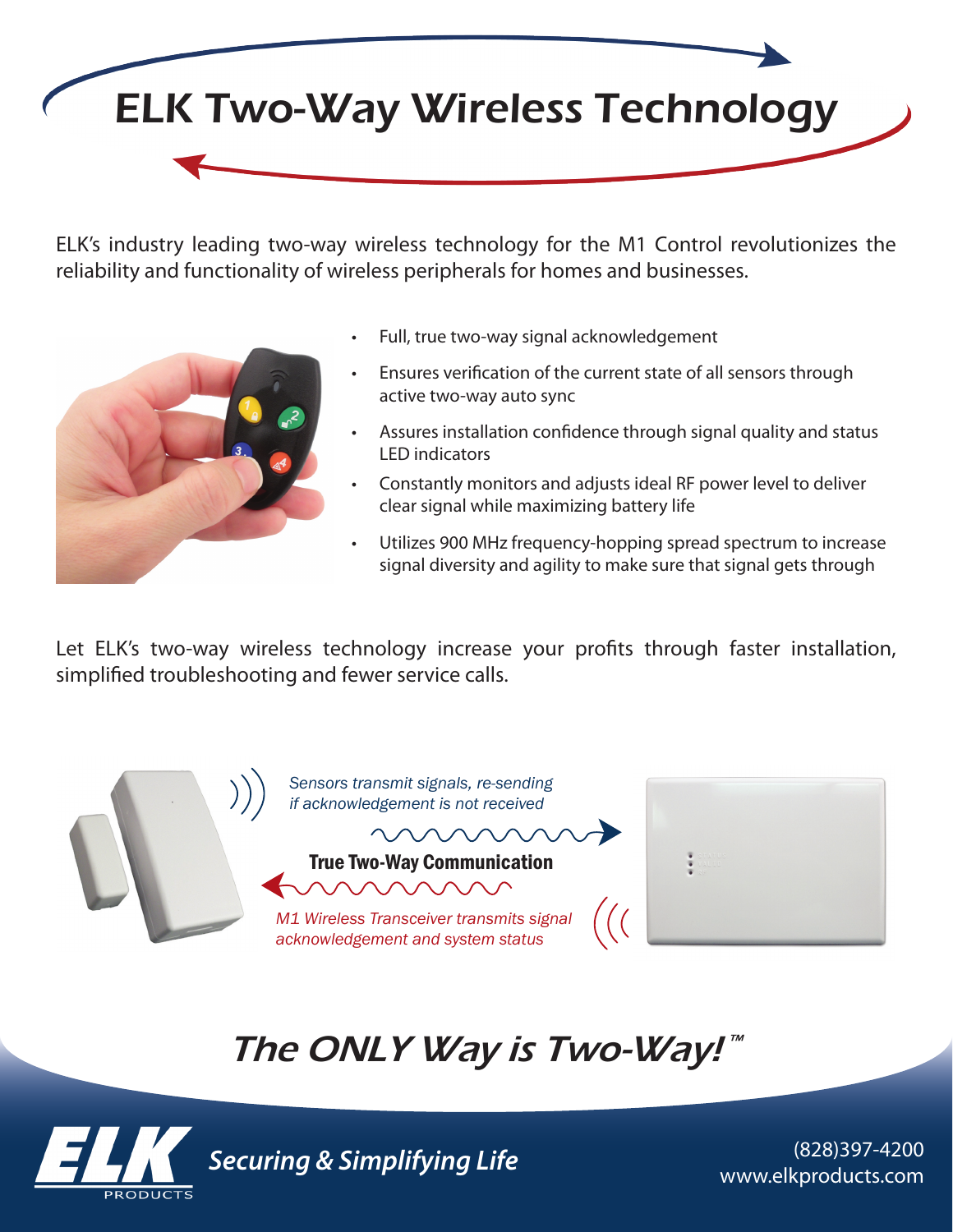

ELK's industry leading two-way wireless technology for the M1 Control revolutionizes the reliability and functionality of wireless peripherals for homes and businesses.



- Full, true two-way signal acknowledgement
- Ensures verification of the current state of all sensors through active two-way auto sync
- Assures installation confidence through signal quality and status LED indicators
- Constantly monitors and adjusts ideal RF power level to deliver clear signal while maximizing battery life
- Utilizes 900 MHz frequency-hopping spread spectrum to increase signal diversity and agility to make sure that signal gets through

Let ELK's two-way wireless technology increase your profits through faster installation, simplified troubleshooting and fewer service calls.



## The ONLY Way is Two-Way!™



www.elkproducts.com *Securing & Simplifying Life*

(828)397-4200